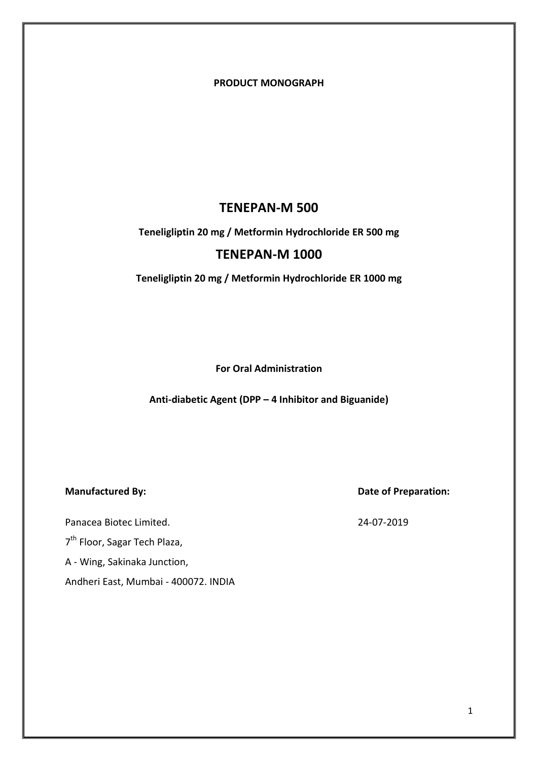**PRODUCT MONOGRAPH**

## **TENEPAN-M 500**

## **Teneligliptin 20 mg / Metformin Hydrochloride ER 500 mg**

## **TENEPAN-M 1000**

**Teneligliptin 20 mg / Metformin Hydrochloride ER 1000 mg** 

**For Oral Administration**

**Anti-diabetic Agent (DPP – 4 Inhibitor and Biguanide)**

Panacea Biotec Limited. 24-07-2019

7<sup>th</sup> Floor, Sagar Tech Plaza,

A - Wing, Sakinaka Junction,

Andheri East, Mumbai - 400072. INDIA

**Manufactured By: Date of Preparation:**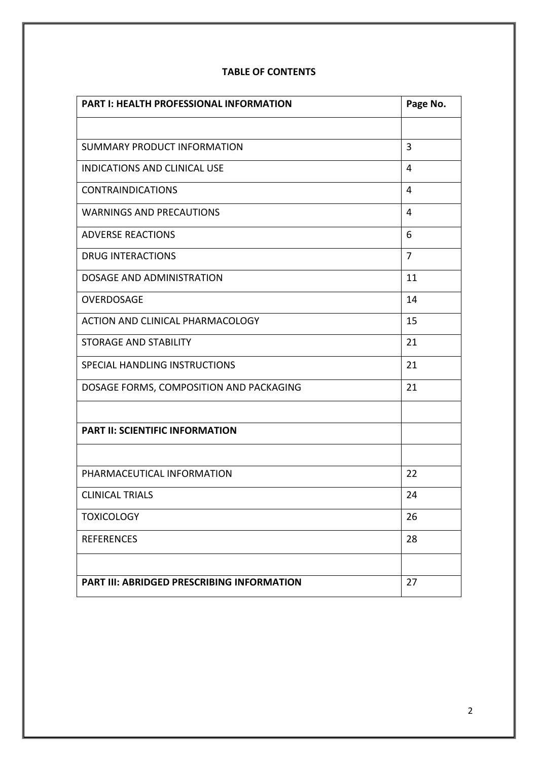| <b>PART I: HEALTH PROFESSIONAL INFORMATION</b>    | Page No. |
|---------------------------------------------------|----------|
|                                                   |          |
| SUMMARY PRODUCT INFORMATION                       | 3        |
| <b>INDICATIONS AND CLINICAL USE</b>               | 4        |
| <b>CONTRAINDICATIONS</b>                          | 4        |
| <b>WARNINGS AND PRECAUTIONS</b>                   | 4        |
| <b>ADVERSE REACTIONS</b>                          | 6        |
| <b>DRUG INTERACTIONS</b>                          | 7        |
| DOSAGE AND ADMINISTRATION                         | 11       |
| OVERDOSAGE                                        | 14       |
| ACTION AND CLINICAL PHARMACOLOGY                  | 15       |
| <b>STORAGE AND STABILITY</b>                      | 21       |
| SPECIAL HANDLING INSTRUCTIONS                     | 21       |
| DOSAGE FORMS, COMPOSITION AND PACKAGING           | 21       |
|                                                   |          |
| <b>PART II: SCIENTIFIC INFORMATION</b>            |          |
|                                                   |          |
| PHARMACEUTICAL INFORMATION                        | 22       |
| <b>CLINICAL TRIALS</b>                            | 24       |
| <b>TOXICOLOGY</b>                                 | 26       |
| <b>REFERENCES</b>                                 | 28       |
|                                                   |          |
| <b>PART III: ABRIDGED PRESCRIBING INFORMATION</b> | 27       |

## **TABLE OF CONTENTS**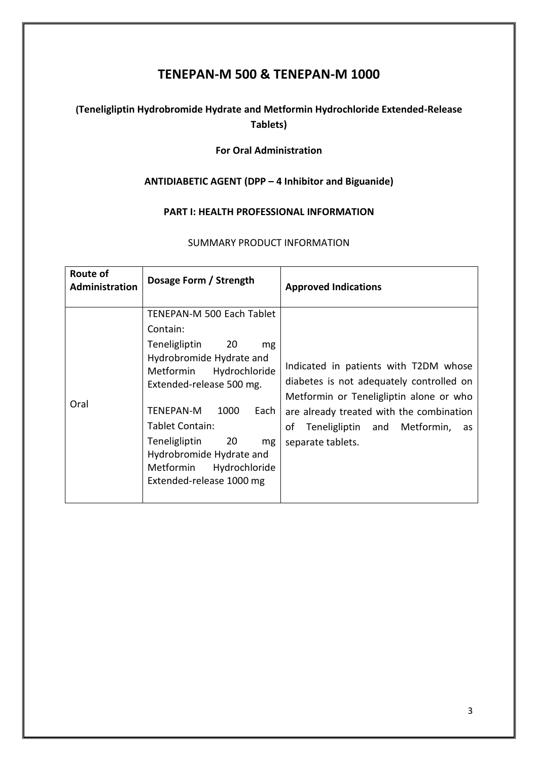# **TENEPAN-M 500 & TENEPAN-M 1000**

## **(Teneligliptin Hydrobromide Hydrate and Metformin Hydrochloride Extended-Release Tablets)**

## **For Oral Administration**

## **ANTIDIABETIC AGENT (DPP – 4 Inhibitor and Biguanide)**

## **PART I: HEALTH PROFESSIONAL INFORMATION**

## SUMMARY PRODUCT INFORMATION

| <b>Route of</b><br><b>Administration</b> | Dosage Form / Strength                                                                                                                                                                                                                                                                                                                           | <b>Approved Indications</b>                                                                                                                                                                                                               |
|------------------------------------------|--------------------------------------------------------------------------------------------------------------------------------------------------------------------------------------------------------------------------------------------------------------------------------------------------------------------------------------------------|-------------------------------------------------------------------------------------------------------------------------------------------------------------------------------------------------------------------------------------------|
| Oral                                     | TENEPAN-M 500 Each Tablet<br>Contain:<br><b>Teneligliptin</b><br>20<br>mg<br>Hydrobromide Hydrate and<br>Hydrochloride<br>Metformin<br>Extended-release 500 mg.<br><b>TENEPAN-M</b><br>1000<br>Each<br>Tablet Contain:<br>Teneligliptin<br>$\sim$ 20<br>mg<br>Hydrobromide Hydrate and<br>Metformin<br>Hydrochloride<br>Extended-release 1000 mg | Indicated in patients with T2DM whose<br>diabetes is not adequately controlled on<br>Metformin or Teneligliptin alone or who<br>are already treated with the combination<br>Teneligliptin and Metformin,<br>οf<br>as<br>separate tablets. |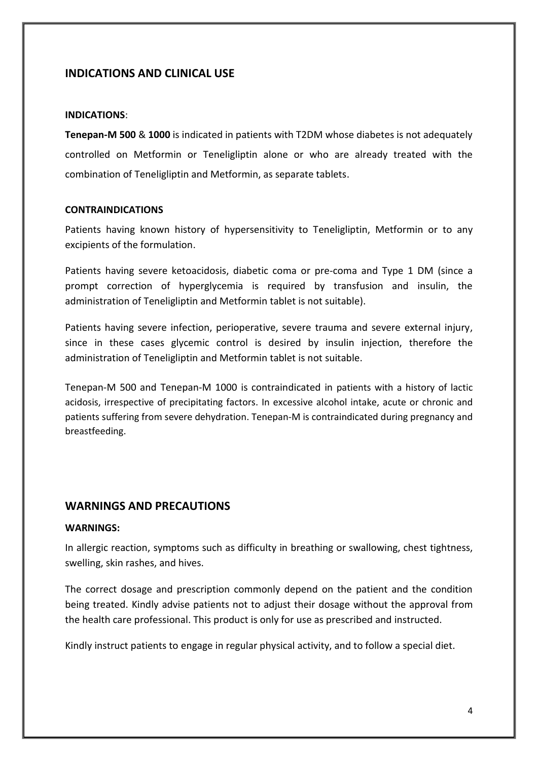## **INDICATIONS AND CLINICAL USE**

#### **INDICATIONS**:

**Tenepan-M 500** & **1000** is indicated in patients with T2DM whose diabetes is not adequately controlled on Metformin or Teneligliptin alone or who are already treated with the combination of Teneligliptin and Metformin, as separate tablets.

### **CONTRAINDICATIONS**

Patients having known history of hypersensitivity to Teneligliptin, Metformin or to any excipients of the formulation.

Patients having severe ketoacidosis, diabetic coma or pre-coma and Type 1 DM (since a prompt correction of hyperglycemia is required by transfusion and insulin, the administration of Teneligliptin and Metformin tablet is not suitable).

Patients having severe infection, perioperative, severe trauma and severe external injury, since in these cases glycemic control is desired by insulin injection, therefore the administration of Teneligliptin and Metformin tablet is not suitable.

Tenepan-M 500 and Tenepan-M 1000 is contraindicated in patients with a history of lactic acidosis, irrespective of precipitating factors. In excessive alcohol intake, acute or chronic and patients suffering from severe dehydration. Tenepan-M is contraindicated during pregnancy and breastfeeding.

## **WARNINGS AND PRECAUTIONS**

## **WARNINGS:**

In allergic reaction, symptoms such as difficulty in breathing or swallowing, chest tightness, swelling, skin rashes, and hives.

The correct dosage and prescription commonly depend on the patient and the condition being treated. Kindly advise patients not to adjust their dosage without the approval from the health care professional. This product is only for use as prescribed and instructed.

Kindly instruct patients to engage in regular physical activity, and to follow a special diet.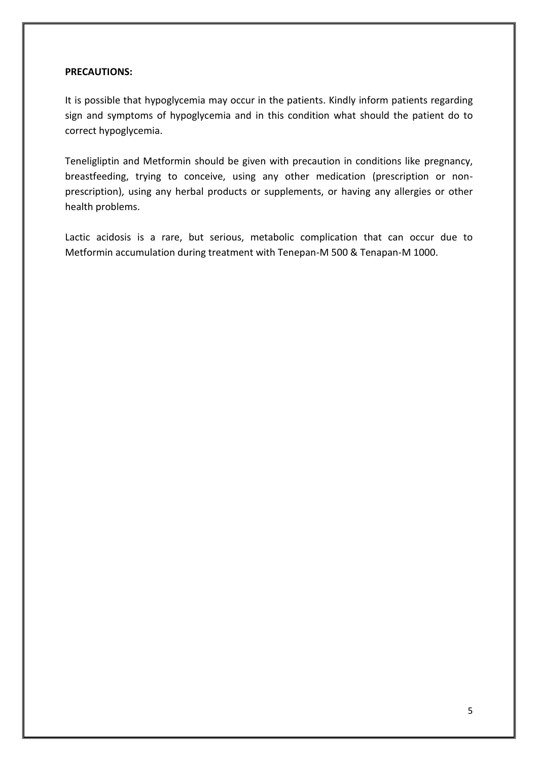### **PRECAUTIONS:**

It is possible that hypoglycemia may occur in the patients. Kindly inform patients regarding sign and symptoms of hypoglycemia and in this condition what should the patient do to correct hypoglycemia.

Teneligliptin and Metformin should be given with precaution in conditions like pregnancy, breastfeeding, trying to conceive, using any other medication (prescription or nonprescription), using any herbal products or supplements, or having any allergies or other health problems.

Lactic acidosis is a rare, but serious, metabolic complication that can occur due to Metformin accumulation during treatment with Tenepan-M 500 & Tenapan-M 1000.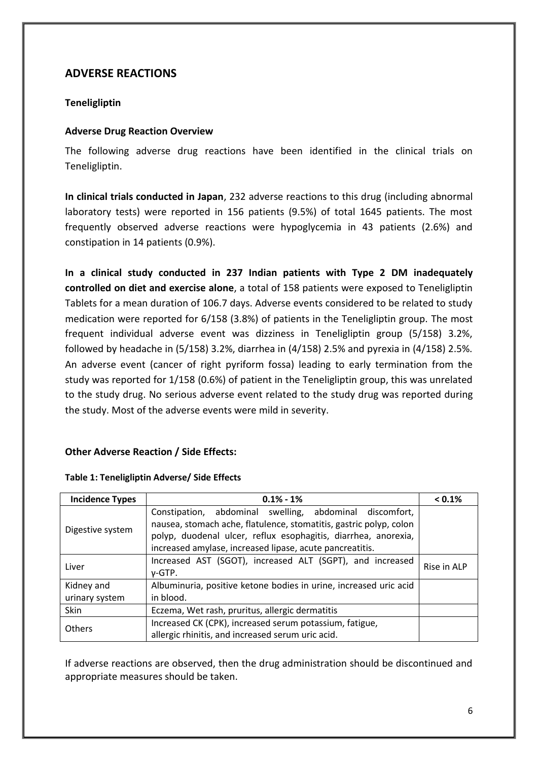## **ADVERSE REACTIONS**

## **Teneligliptin**

## **Adverse Drug Reaction Overview**

The following adverse drug reactions have been identified in the clinical trials on Teneligliptin.

**In clinical trials conducted in Japan**, 232 adverse reactions to this drug (including abnormal laboratory tests) were reported in 156 patients (9.5%) of total 1645 patients. The most frequently observed adverse reactions were hypoglycemia in 43 patients (2.6%) and constipation in 14 patients (0.9%).

**In a clinical study conducted in 237 Indian patients with Type 2 DM inadequately controlled on diet and exercise alone**, a total of 158 patients were exposed to Teneligliptin Tablets for a mean duration of 106.7 days. Adverse events considered to be related to study medication were reported for 6/158 (3.8%) of patients in the Teneligliptin group. The most frequent individual adverse event was dizziness in Teneligliptin group (5/158) 3.2%, followed by headache in (5/158) 3.2%, diarrhea in (4/158) 2.5% and pyrexia in (4/158) 2.5%. An adverse event (cancer of right pyriform fossa) leading to early termination from the study was reported for 1/158 (0.6%) of patient in the Teneligliptin group, this was unrelated to the study drug. No serious adverse event related to the study drug was reported during the study. Most of the adverse events were mild in severity.

## **Other Adverse Reaction / Side Effects:**

| <b>Incidence Types</b> | $0.1\% - 1\%$                                                      | < 0.1%      |
|------------------------|--------------------------------------------------------------------|-------------|
| Digestive system       | Constipation, abdominal swelling, abdominal discomfort,            |             |
|                        | nausea, stomach ache, flatulence, stomatitis, gastric polyp, colon |             |
|                        | polyp, duodenal ulcer, reflux esophagitis, diarrhea, anorexia,     |             |
|                        | increased amylase, increased lipase, acute pancreatitis.           |             |
| Liver                  | Increased AST (SGOT), increased ALT (SGPT), and increased          | Rise in ALP |
|                        | v-GTP.                                                             |             |
| Kidney and             | Albuminuria, positive ketone bodies in urine, increased uric acid  |             |
| urinary system         | in blood.                                                          |             |
| Skin                   | Eczema, Wet rash, pruritus, allergic dermatitis                    |             |
| Others                 | Increased CK (CPK), increased serum potassium, fatigue,            |             |
|                        | allergic rhinitis, and increased serum uric acid.                  |             |

## **Table 1: Teneligliptin Adverse/ Side Effects**

If adverse reactions are observed, then the drug administration should be discontinued and appropriate measures should be taken.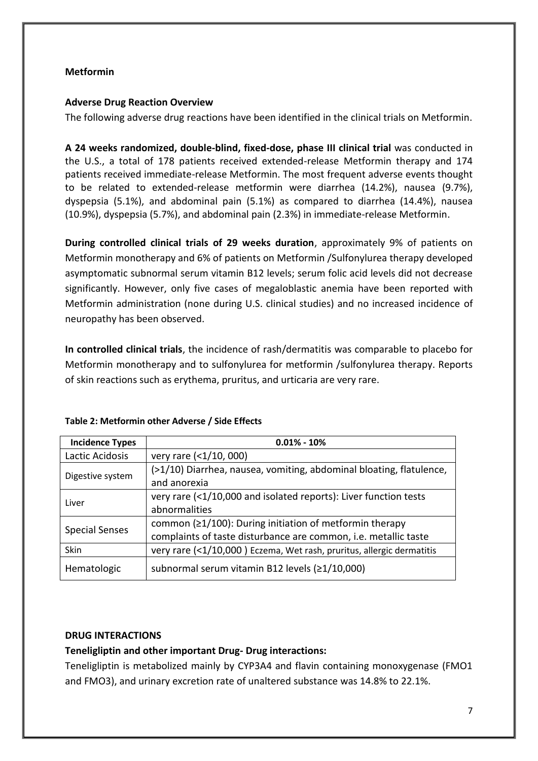## **Metformin**

## **Adverse Drug Reaction Overview**

The following adverse drug reactions have been identified in the clinical trials on Metformin.

**A 24 weeks randomized, double-blind, fixed-dose, phase III clinical trial** was conducted in the U.S., a total of 178 patients received extended-release Metformin therapy and 174 patients received immediate-release Metformin. The most frequent adverse events thought to be related to extended-release metformin were diarrhea (14.2%), nausea (9.7%), dyspepsia (5.1%), and abdominal pain (5.1%) as compared to diarrhea (14.4%), nausea (10.9%), dyspepsia (5.7%), and abdominal pain (2.3%) in immediate-release Metformin.

**During controlled clinical trials of 29 weeks duration**, approximately 9% of patients on Metformin monotherapy and 6% of patients on Metformin /Sulfonylurea therapy developed asymptomatic subnormal serum vitamin B12 levels; serum folic acid levels did not decrease significantly. However, only five cases of megaloblastic anemia have been reported with Metformin administration (none during U.S. clinical studies) and no increased incidence of neuropathy has been observed.

**In controlled clinical trials**, the incidence of rash/dermatitis was comparable to placebo for Metformin monotherapy and to sulfonylurea for metformin /sulfonylurea therapy. Reports of skin reactions such as erythema, pruritus, and urticaria are very rare.

| <b>Incidence Types</b> | $0.01\% - 10\%$                                                       |
|------------------------|-----------------------------------------------------------------------|
| Lactic Acidosis        | very rare (<1/10, 000)                                                |
| Digestive system       | (>1/10) Diarrhea, nausea, vomiting, abdominal bloating, flatulence,   |
|                        | and anorexia                                                          |
| Liver                  | very rare (<1/10,000 and isolated reports): Liver function tests      |
|                        | abnormalities                                                         |
|                        | common $(21/100)$ : During initiation of metformin therapy            |
| <b>Special Senses</b>  | complaints of taste disturbance are common, i.e. metallic taste       |
| Skin                   | very rare (<1/10,000) Eczema, Wet rash, pruritus, allergic dermatitis |
| Hematologic            | subnormal serum vitamin B12 levels (≥1/10,000)                        |

#### **Table 2: Metformin other Adverse / Side Effects**

## **DRUG INTERACTIONS**

## **Teneligliptin and other important Drug- Drug interactions:**

Teneligliptin is metabolized mainly by CYP3A4 and flavin containing monoxygenase (FMO1 and FMO3), and urinary excretion rate of unaltered substance was 14.8% to 22.1%.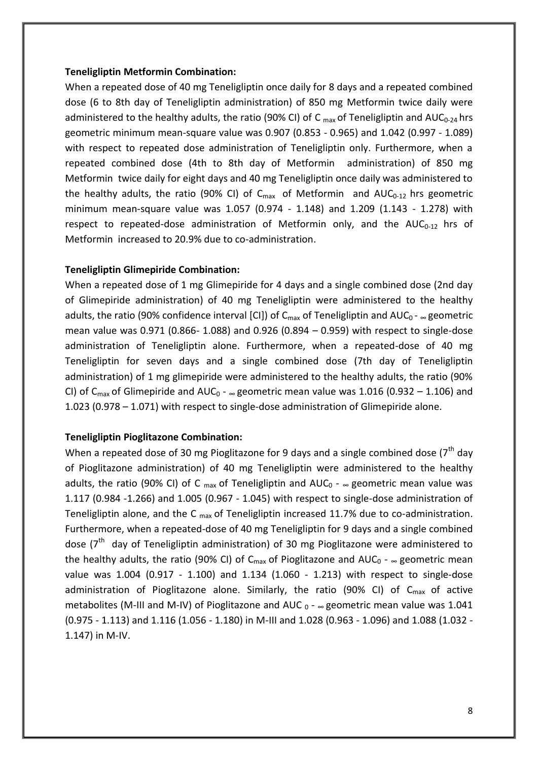#### **Teneligliptin Metformin Combination:**

When a repeated dose of 40 mg Teneligliptin once daily for 8 days and a repeated combined dose (6 to 8th day of Teneligliptin administration) of 850 mg Metformin twice daily were administered to the healthy adults, the ratio (90% CI) of C  $_{max}$  of Teneligliptin and AUC<sub>0-24</sub> hrs geometric minimum mean-square value was 0.907 (0.853 - 0.965) and 1.042 (0.997 - 1.089) with respect to repeated dose administration of Teneligliptin only. Furthermore, when a repeated combined dose (4th to 8th day of Metformin administration) of 850 mg Metformin twice daily for eight days and 40 mg Teneligliptin once daily was administered to the healthy adults, the ratio (90% CI) of  $C_{\text{max}}$  of Metformin and AUC<sub>0-12</sub> hrs geometric minimum mean-square value was 1.057 (0.974 - 1.148) and 1.209 (1.143 - 1.278) with respect to repeated-dose administration of Metformin only, and the  $AUC_{0-12}$  hrs of Metformin increased to 20.9% due to co-administration.

#### **Teneligliptin Glimepiride Combination:**

When a repeated dose of 1 mg Glimepiride for 4 days and a single combined dose (2nd day of Glimepiride administration) of 40 mg Teneligliptin were administered to the healthy adults, the ratio (90% confidence interval [CI]) of  $C_{\text{max}}$  of Teneligliptin and AUC<sub>0</sub> -  $\infty$  geometric mean value was 0.971 (0.866- 1.088) and 0.926 (0.894 – 0.959) with respect to single-dose administration of Teneligliptin alone. Furthermore, when a repeated-dose of 40 mg Teneligliptin for seven days and a single combined dose (7th day of Teneligliptin administration) of 1 mg glimepiride were administered to the healthy adults, the ratio (90% CI) of  $C_{\text{max}}$  of Glimepiride and AUC<sub>0</sub> -  $_{\infty}$  geometric mean value was 1.016 (0.932 – 1.106) and 1.023 (0.978 – 1.071) with respect to single-dose administration of Glimepiride alone.

#### **Teneligliptin Pioglitazone Combination:**

When a repeated dose of 30 mg Pioglitazone for 9 days and a single combined dose  $7<sup>th</sup>$  day of Pioglitazone administration) of 40 mg Teneligliptin were administered to the healthy adults, the ratio (90% CI) of C  $_{max}$  of Teneligliptin and AUC<sub>0</sub> -  $_{\infty}$  geometric mean value was 1.117 (0.984 -1.266) and 1.005 (0.967 - 1.045) with respect to single-dose administration of Teneligliptin alone, and the C  $_{max}$  of Teneligliptin increased 11.7% due to co-administration. Furthermore, when a repeated-dose of 40 mg Teneligliptin for 9 days and a single combined dose (7<sup>th</sup> day of Teneligliptin administration) of 30 mg Pioglitazone were administered to the healthy adults, the ratio (90% CI) of C<sub>max</sub> of Pioglitazone and AUC<sub>0</sub> -  $\infty$  geometric mean value was 1.004 (0.917 - 1.100) and 1.134 (1.060 - 1.213) with respect to single-dose administration of Pioglitazone alone. Similarly, the ratio (90% CI) of  $C_{\text{max}}$  of active metabolites (M-III and M-IV) of Pioglitazone and AUC  $_0$  -  $_{\infty}$  geometric mean value was 1.041 (0.975 - 1.113) and 1.116 (1.056 - 1.180) in M-III and 1.028 (0.963 - 1.096) and 1.088 (1.032 - 1.147) in M-IV.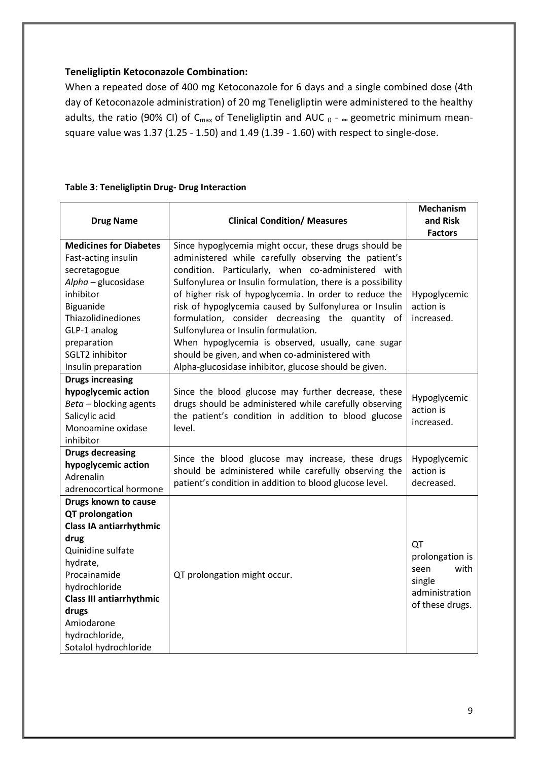## **Teneligliptin Ketoconazole Combination:**

When a repeated dose of 400 mg Ketoconazole for 6 days and a single combined dose (4th day of Ketoconazole administration) of 20 mg Teneligliptin were administered to the healthy adults, the ratio (90% CI) of C<sub>max</sub> of Teneligliptin and AUC  $_0$  -  $_{\infty}$  geometric minimum meansquare value was 1.37 (1.25 - 1.50) and 1.49 (1.39 - 1.60) with respect to single-dose.

## **Table 3: Teneligliptin Drug- Drug Interaction**

|                                 |                                                             | <b>Mechanism</b> |
|---------------------------------|-------------------------------------------------------------|------------------|
| <b>Drug Name</b>                | <b>Clinical Condition/ Measures</b>                         | and Risk         |
|                                 |                                                             | <b>Factors</b>   |
| <b>Medicines for Diabetes</b>   | Since hypoglycemia might occur, these drugs should be       |                  |
| Fast-acting insulin             | administered while carefully observing the patient's        |                  |
| secretagogue                    | condition. Particularly, when co-administered with          |                  |
| Alpha - glucosidase             | Sulfonylurea or Insulin formulation, there is a possibility |                  |
| inhibitor                       | of higher risk of hypoglycemia. In order to reduce the      | Hypoglycemic     |
| Biguanide                       | risk of hypoglycemia caused by Sulfonylurea or Insulin      | action is        |
| Thiazolidinediones              | formulation, consider decreasing the quantity of            | increased.       |
| GLP-1 analog                    | Sulfonylurea or Insulin formulation.                        |                  |
| preparation                     | When hypoglycemia is observed, usually, cane sugar          |                  |
| SGLT2 inhibitor                 | should be given, and when co-administered with              |                  |
| Insulin preparation             | Alpha-glucosidase inhibitor, glucose should be given.       |                  |
| <b>Drugs increasing</b>         |                                                             |                  |
| hypoglycemic action             | Since the blood glucose may further decrease, these         | Hypoglycemic     |
| Beta - blocking agents          | drugs should be administered while carefully observing      | action is        |
| Salicylic acid                  | the patient's condition in addition to blood glucose        | increased.       |
| Monoamine oxidase               | level.                                                      |                  |
| inhibitor                       |                                                             |                  |
| <b>Drugs decreasing</b>         | Since the blood glucose may increase, these drugs           | Hypoglycemic     |
| hypoglycemic action             | should be administered while carefully observing the        | action is        |
| Adrenalin                       | patient's condition in addition to blood glucose level.     | decreased.       |
| adrenocortical hormone          |                                                             |                  |
| Drugs known to cause            |                                                             |                  |
| QT prolongation                 |                                                             |                  |
| <b>Class IA antiarrhythmic</b>  |                                                             |                  |
| drug                            |                                                             | QT               |
| Quinidine sulfate               |                                                             | prolongation is  |
| hydrate,                        |                                                             | with<br>seen     |
| Procainamide                    | QT prolongation might occur.                                | single           |
| hydrochloride                   |                                                             | administration   |
| <b>Class III antiarrhythmic</b> |                                                             | of these drugs.  |
| drugs                           |                                                             |                  |
| Amiodarone                      |                                                             |                  |
| hydrochloride,                  |                                                             |                  |
| Sotalol hydrochloride           |                                                             |                  |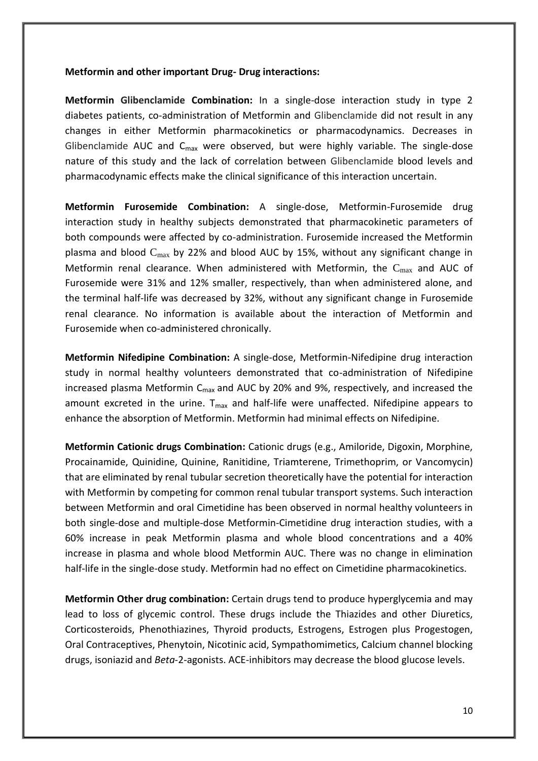#### **Metformin and other important Drug- Drug interactions:**

**Metformin Glibenclamide Combination:** In a single-dose interaction study in type 2 diabetes patients, co-administration of Metformin and Glibenclamide did not result in any changes in either Metformin pharmacokinetics or pharmacodynamics. Decreases in Glibenclamide AUC and  $C_{\text{max}}$  were observed, but were highly variable. The single-dose nature of this study and the lack of correlation between Glibenclamide blood levels and pharmacodynamic effects make the clinical significance of this interaction uncertain.

**Metformin Furosemide Combination:** A single-dose, Metformin-Furosemide drug interaction study in healthy subjects demonstrated that pharmacokinetic parameters of both compounds were affected by co-administration. Furosemide increased the Metformin plasma and blood  $C_{\text{max}}$  by 22% and blood AUC by 15%, without any significant change in Metformin renal clearance. When administered with Metformin, the  $C_{\text{max}}$  and AUC of Furosemide were 31% and 12% smaller, respectively, than when administered alone, and the terminal half-life was decreased by 32%, without any significant change in Furosemide renal clearance. No information is available about the interaction of Metformin and Furosemide when co-administered chronically.

**Metformin Nifedipine Combination:** A single-dose, Metformin-Nifedipine drug interaction study in normal healthy volunteers demonstrated that co-administration of Nifedipine increased plasma Metformin  $C_{\text{max}}$  and AUC by 20% and 9%, respectively, and increased the amount excreted in the urine.  $T_{max}$  and half-life were unaffected. Nifedipine appears to enhance the absorption of Metformin. Metformin had minimal effects on Nifedipine.

**Metformin Cationic drugs Combination:** Cationic drugs (e.g., Amiloride, Digoxin, Morphine, Procainamide, Quinidine, Quinine, Ranitidine, Triamterene, Trimethoprim, or Vancomycin) that are eliminated by renal tubular secretion theoretically have the potential for interaction with Metformin by competing for common renal tubular transport systems. Such interaction between Metformin and oral Cimetidine has been observed in normal healthy volunteers in both single-dose and multiple-dose Metformin-Cimetidine drug interaction studies, with a 60% increase in peak Metformin plasma and whole blood concentrations and a 40% increase in plasma and whole blood Metformin AUC. There was no change in elimination half-life in the single-dose study. Metformin had no effect on Cimetidine pharmacokinetics.

**Metformin Other drug combination:** Certain drugs tend to produce hyperglycemia and may lead to loss of glycemic control. These drugs include the Thiazides and other Diuretics, Corticosteroids, Phenothiazines, Thyroid products, Estrogens, Estrogen plus Progestogen, Oral Contraceptives, Phenytoin, Nicotinic acid, Sympathomimetics, Calcium channel blocking drugs, isoniazid and *Beta*-2-agonists. ACE-inhibitors may decrease the blood glucose levels.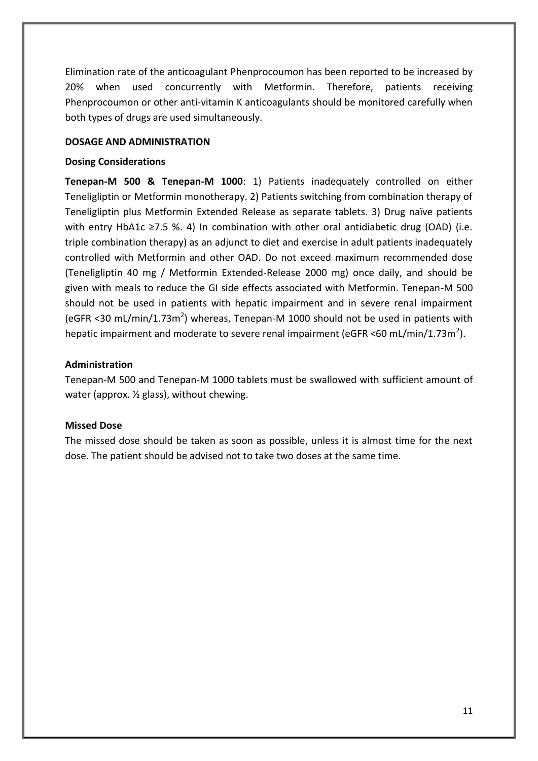Elimination rate of the anticoagulant Phenprocoumon has been reported to be increased by 20% when used concurrently with Metformin. Therefore, patients receiving Phenprocoumon or other anti-vitamin K anticoagulants should be monitored carefully when both types of drugs are used simultaneously.

### **DOSAGE AND ADMINISTRATION**

### **Dosing Considerations**

**Tenepan-M 500 & Tenepan-M 1000**: 1) Patients inadequately controlled on either Teneligliptin or Metformin monotherapy. 2) Patients switching from combination therapy of Teneligliptin plus Metformin Extended Release as separate tablets. 3) Drug naïve patients with entry HbA1c ≥7.5 %. 4) In combination with other oral antidiabetic drug (OAD) (i.e. triple combination therapy) as an adjunct to diet and exercise in adult patients inadequately controlled with Metformin and other OAD. Do not exceed maximum recommended dose (Teneligliptin 40 mg / Metformin Extended-Release 2000 mg) once daily, and should be given with meals to reduce the GI side effects associated with Metformin. Tenepan-M 500 should not be used in patients with hepatic impairment and in severe renal impairment (eGFR <30 mL/min/1.73m<sup>2</sup>) whereas, Tenepan-M 1000 should not be used in patients with hepatic impairment and moderate to severe renal impairment (eGFR <60 mL/min/1.73m<sup>2</sup>).

## **Administration**

Tenepan-M 500 and Tenepan-M 1000 tablets must be swallowed with sufficient amount of water (approx. ½ glass), without chewing.

## **Missed Dose**

The missed dose should be taken as soon as possible, unless it is almost time for the next dose. The patient should be advised not to take two doses at the same time.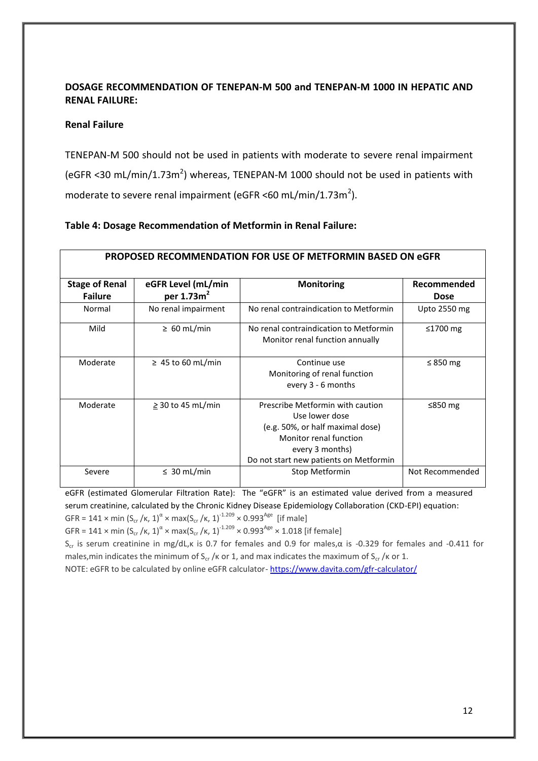## **DOSAGE RECOMMENDATION OF TENEPAN-M 500 and TENEPAN-M 1000 IN HEPATIC AND RENAL FAILURE:**

### **Renal Failure**

TENEPAN-M 500 should not be used in patients with moderate to severe renal impairment (eGFR <30 mL/min/1.73m<sup>2</sup>) whereas, TENEPAN-M 1000 should not be used in patients with moderate to severe renal impairment (eGFR <60 mL/min/1.73m<sup>2</sup>).

## **Table 4: Dosage Recommendation of Metformin in Renal Failure:**

|                                         |                                    | <b>PROPOSED RECOMMENDATION FOR USE OF METFORMIN BASED ON eGFR</b>                                                                                                             |                            |
|-----------------------------------------|------------------------------------|-------------------------------------------------------------------------------------------------------------------------------------------------------------------------------|----------------------------|
| <b>Stage of Renal</b><br><b>Failure</b> | eGFR Level (mL/min<br>per $1.73m2$ | <b>Monitoring</b>                                                                                                                                                             | Recommended<br><b>Dose</b> |
| Normal                                  | No renal impairment                | No renal contraindication to Metformin                                                                                                                                        | Upto 2550 mg               |
| Mild                                    | $\geq 60$ mL/min                   | No renal contraindication to Metformin<br>Monitor renal function annually                                                                                                     | ≤1700 $mg$                 |
| Moderate                                | $\geq$ 45 to 60 mL/min             | Continue use<br>Monitoring of renal function<br>every 3 - 6 months                                                                                                            | $\leq$ 850 mg              |
| Moderate                                | $\geq$ 30 to 45 mL/min             | Prescribe Metformin with caution<br>Use lower dose<br>(e.g. 50%, or half maximal dose)<br>Monitor renal function<br>every 3 months)<br>Do not start new patients on Metformin | ≤850 $mg$                  |
| Severe                                  | $\leq 30$ mL/min                   | Stop Metformin                                                                                                                                                                | Not Recommended            |

eGFR (estimated Glomerular Filtration Rate): The "eGFR" is an estimated value derived from a measured serum creatinine, calculated by the [Chronic Kidney Disease Epidemiology Collaboration \(CKD-EPI\) equation:](http://www.niddk.nih.gov/health-information/health-communication-programs/nkdep/lab-evaluation/gfr/estimating/Pages/estimating.aspx#the-ckd-epi-equation) GFR = 141 x min  $(S_{cr}/\kappa, 1)^{\alpha}$  x max $(S_{cr}/\kappa, 1)^{-1.209}$  x 0.993<sup>Age</sup> [if male]

GFR = 141 x min  $(S_{cr}/\kappa, 1)^{\alpha}$  x max $(S_{cr}/\kappa, 1)^{1.209}$  x 0.993<sup>Age</sup> x 1.018 [if female]

S<sub>cr</sub> is serum creatinine in mg/dL, k is 0.7 for females and 0.9 for males, α is -0.329 for females and -0.411 for males,min indicates the minimum of S<sub>cr</sub> /k or 1, and max indicates the maximum of S<sub>cr</sub> /k or 1.

NOTE: eGFR to be calculated by online eGFR calculator- <https://www.davita.com/gfr-calculator/>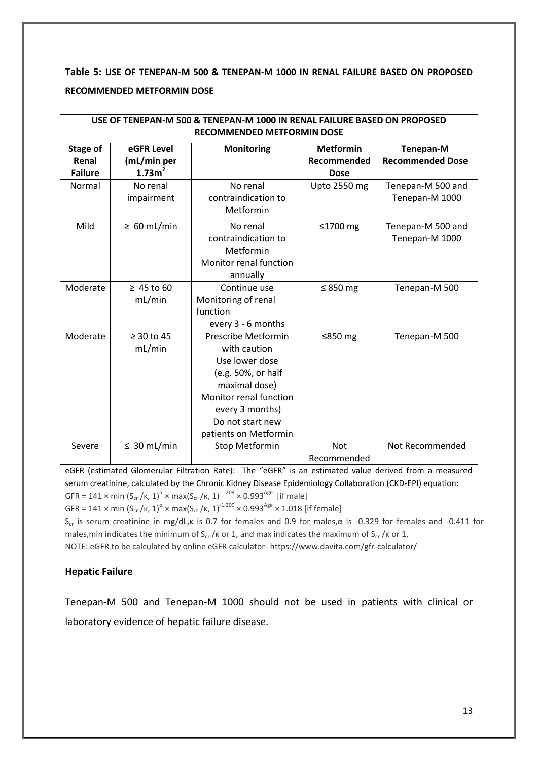**Table 5: USE OF TENEPAN-M 500 & TENEPAN-M 1000 IN RENAL FAILURE BASED ON PROPOSED RECOMMENDED METFORMIN DOSE**

| USE OF TENEPAN-M 500 & TENEPAN-M 1000 IN RENAL FAILURE BASED ON PROPOSED<br>RECOMMENDED METFORMIN DOSE |                                                 |                                                                                                                                                                                        |                                                |                                      |
|--------------------------------------------------------------------------------------------------------|-------------------------------------------------|----------------------------------------------------------------------------------------------------------------------------------------------------------------------------------------|------------------------------------------------|--------------------------------------|
| Stage of<br>Renal<br><b>Failure</b>                                                                    | eGFR Level<br>(mL/min per<br>1.73m <sup>2</sup> | <b>Monitoring</b>                                                                                                                                                                      | <b>Metformin</b><br>Recommended<br><b>Dose</b> | Tenepan-M<br><b>Recommended Dose</b> |
| Normal                                                                                                 | No renal<br>impairment                          | No renal<br>contraindication to<br>Metformin                                                                                                                                           | <b>Upto 2550 mg</b>                            | Tenepan-M 500 and<br>Tenepan-M 1000  |
| Mild                                                                                                   | $\geq 60$ mL/min                                | No renal<br>contraindication to<br>Metformin<br>Monitor renal function<br>annually                                                                                                     | ≤1700 $mg$                                     | Tenepan-M 500 and<br>Tenepan-M 1000  |
| Moderate                                                                                               | $\geq 45$ to 60<br>mL/min                       | Continue use<br>Monitoring of renal<br>function<br>every 3 - 6 months                                                                                                                  | ≤ 850 $mg$                                     | Tenepan-M 500                        |
| Moderate                                                                                               | $\geq$ 30 to 45<br>mL/min                       | Prescribe Metformin<br>with caution<br>Use lower dose<br>(e.g. 50%, or half<br>maximal dose)<br>Monitor renal function<br>every 3 months)<br>Do not start new<br>patients on Metformin | ≤850 $mg$                                      | Tenepan-M 500                        |
| Severe                                                                                                 | $\leq 30$ mL/min                                | <b>Stop Metformin</b>                                                                                                                                                                  | <b>Not</b><br>Recommended                      | Not Recommended                      |

eGFR (estimated Glomerular Filtration Rate): The "eGFR" is an estimated value derived from a measured serum creatinine, calculated by the [Chronic Kidney Disease Epidemiology Collaboration \(CKD-EPI\) equation:](http://www.niddk.nih.gov/health-information/health-communication-programs/nkdep/lab-evaluation/gfr/estimating/Pages/estimating.aspx#the-ckd-epi-equation) GFR = 141 x min  $(S_{cr}/\kappa, 1)^{\alpha}$  x max $(S_{cr}/\kappa, 1)^{-1.209}$  x 0.993<sup>Age</sup> [if male]

GFR = 141 x min  $(S_{cr}/\kappa, 1)^{\alpha}$  x max $(S_{cr}/\kappa, 1)^{1.209}$  x 0.993<sup>Age</sup> x 1.018 [if female]

Scr is serum creatinine in mg/dL,κ is 0.7 for females and 0.9 for males,α is -0.329 for females and -0.411 for males,min indicates the minimum of  $S_{cr}$  /k or 1, and max indicates the maximum of  $S_{cr}$  /k or 1.

NOTE: eGFR to be calculated by online eGFR calculator- https://www.davita.com/gfr-calculator/

## **Hepatic Failure**

Tenepan-M 500 and Tenepan-M 1000 should not be used in patients with clinical or laboratory evidence of hepatic failure disease.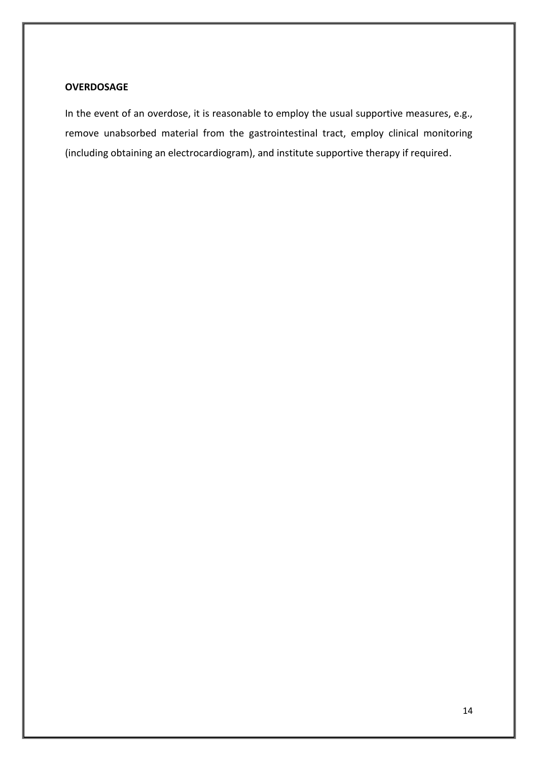### **OVERDOSAGE**

In the event of an overdose, it is reasonable to employ the usual supportive measures, e.g., remove unabsorbed material from the gastrointestinal tract, employ clinical monitoring (including obtaining an electrocardiogram), and institute supportive therapy if required.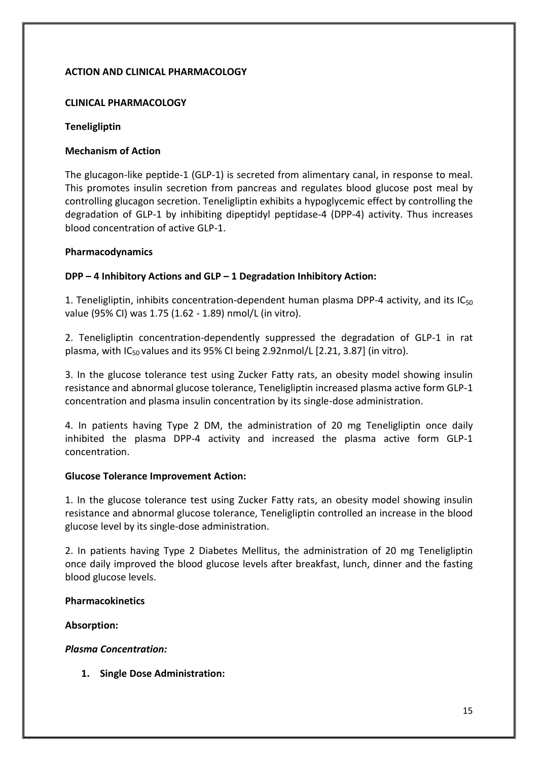## **ACTION AND CLINICAL PHARMACOLOGY**

## **CLINICAL PHARMACOLOGY**

### **Teneligliptin**

### **Mechanism of Action**

The glucagon-like peptide-1 (GLP-1) is secreted from alimentary canal, in response to meal. This promotes insulin secretion from pancreas and regulates blood glucose post meal by controlling glucagon secretion. Teneligliptin exhibits a hypoglycemic effect by controlling the degradation of GLP-1 by inhibiting dipeptidyl peptidase-4 (DPP-4) activity. Thus increases blood concentration of active GLP-1.

### **Pharmacodynamics**

## **DPP – 4 Inhibitory Actions and GLP – 1 Degradation Inhibitory Action:**

1. Teneligliptin, inhibits concentration-dependent human plasma DPP-4 activity, and its  $IC_{50}$ value (95% CI) was 1.75 (1.62 - 1.89) nmol/L (in vitro).

2. Teneligliptin concentration-dependently suppressed the degradation of GLP-1 in rat plasma, with  $IC_{50}$  values and its 95% CI being 2.92nmol/L [2.21, 3.87] (in vitro).

3. In the glucose tolerance test using Zucker Fatty rats, an obesity model showing insulin resistance and abnormal glucose tolerance, Teneligliptin increased plasma active form GLP-1 concentration and plasma insulin concentration by its single-dose administration.

4. In patients having Type 2 DM, the administration of 20 mg Teneligliptin once daily inhibited the plasma DPP-4 activity and increased the plasma active form GLP-1 concentration.

#### **Glucose Tolerance Improvement Action:**

1. In the glucose tolerance test using Zucker Fatty rats, an obesity model showing insulin resistance and abnormal glucose tolerance, Teneligliptin controlled an increase in the blood glucose level by its single-dose administration.

2. In patients having Type 2 Diabetes Mellitus, the administration of 20 mg Teneligliptin once daily improved the blood glucose levels after breakfast, lunch, dinner and the fasting blood glucose levels.

#### **Pharmacokinetics**

## **Absorption:**

## *Plasma Concentration:*

**1. Single Dose Administration:**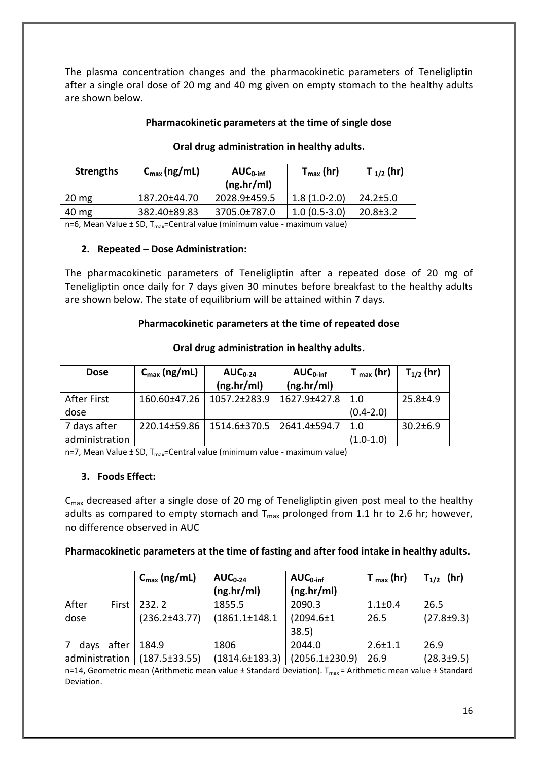The plasma concentration changes and the pharmacokinetic parameters of Teneligliptin after a single oral dose of 20 mg and 40 mg given on empty stomach to the healthy adults are shown below.

## **Pharmacokinetic parameters at the time of single dose**

| <b>Strengths</b> | $C_{\text{max}}$ (ng/mL) | $AUC_{0\text{-inf}}$<br>(ng/hr/ml) | $T_{max}$ (hr) | T $_{1/2}$ (hr) |
|------------------|--------------------------|------------------------------------|----------------|-----------------|
| $20 \text{ mg}$  | 187.20±44.70             | 2028.9±459.5                       | $1.8(1.0-2.0)$ | $24.2 \pm 5.0$  |
| $40 \mathrm{mg}$ | 382.40±89.83             | 3705.0±787.0                       | $1.0(0.5-3.0)$ | $20.8 \pm 3.2$  |

## **Oral drug administration in healthy adults.**

n=6, Mean Value  $\pm$  SD, T<sub>max</sub>=Central value (minimum value - maximum value)

### **2. Repeated – Dose Administration:**

The pharmacokinetic parameters of Teneligliptin after a repeated dose of 20 mg of Teneligliptin once daily for 7 days given 30 minutes before breakfast to the healthy adults are shown below. The state of equilibrium will be attained within 7 days.

## **Pharmacokinetic parameters at the time of repeated dose**

| <b>Dose</b>    | $C_{\text{max}}$ (ng/mL) | $AUC_{0-24}$<br>(ng/hr/ml) | $AUC0-int$<br>(ng/hr/ml) | $T_{max}$ (hr) | $T_{1/2}$ (hr) |
|----------------|--------------------------|----------------------------|--------------------------|----------------|----------------|
|                |                          |                            |                          |                |                |
| After First    | $160.60 \pm 47.26$       | $1057.2 \pm 283.9$         | 1627.9±427.8             | $\sqrt{1.0}$   | $25.8 \pm 4.9$ |
| dose           |                          |                            |                          | $(0.4 - 2.0)$  |                |
| 7 days after   | 220.14±59.86             | 1514.6±370.5               | 2641.4±594.7             | 1.0            | $30.2 \pm 6.9$ |
| administration |                          |                            |                          | $(1.0-1.0)$    |                |

### **Oral drug administration in healthy adults.**

n=7, Mean Value  $\pm$  SD, T<sub>max</sub>=Central value (minimum value - maximum value)

## **3. Foods Effect:**

C<sub>max</sub> decreased after a single dose of 20 mg of Teneligliptin given post meal to the healthy adults as compared to empty stomach and  $T_{max}$  prolonged from 1.1 hr to 2.6 hr; however, no difference observed in AUC

## **Pharmacokinetic parameters at the time of fasting and after food intake in healthy adults.**

|                |       | $C_{\text{max}}$ (ng/mL) | $AUC_{0-24}$         | $AUC_{0\text{-inf}}$ | $T_{max}$ (hr) | $T_{1/2}$ (hr)   |
|----------------|-------|--------------------------|----------------------|----------------------|----------------|------------------|
|                |       |                          | (ng.hr/ml)           | (ng.hr/ml)           |                |                  |
| After          | First | 232.2                    | 1855.5               | 2090.3               | $1.1 \pm 0.4$  | 26.5             |
| dose           |       | $(236.2 \pm 43.77)$      | $(1861.1 \pm 148.1$  | $(2094.6 \pm 1)$     | 26.5           | $(27.8 \pm 9.3)$ |
|                |       |                          |                      | 38.5                 |                |                  |
| days           | after | 184.9                    | 1806                 | 2044.0               | $2.6 \pm 1.1$  | 26.9             |
| administration |       | $(187.5 \pm 33.55)$      | $(1814.6 \pm 183.3)$ | $(2056.1 \pm 230.9)$ | 26.9           | $(28.3 \pm 9.5)$ |

n=14, Geometric mean (Arithmetic mean value  $\pm$  Standard Deviation). T<sub>max</sub> = Arithmetic mean value  $\pm$  Standard Deviation.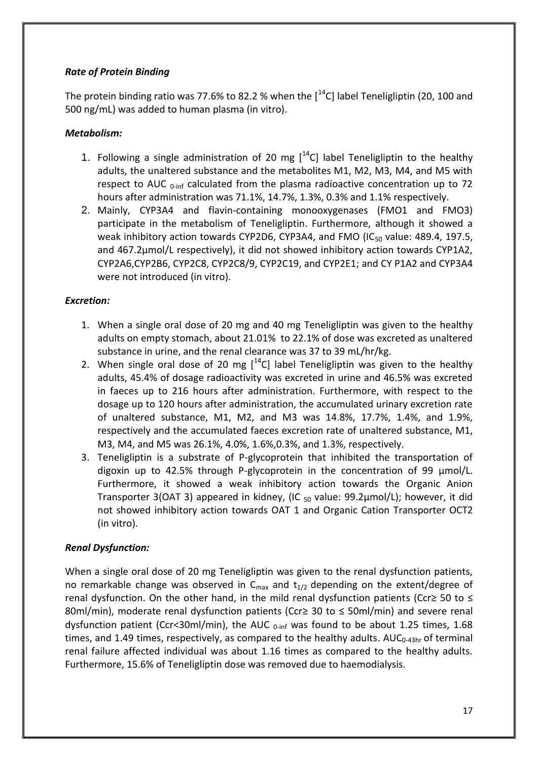## *Rate of Protein Binding*

The protein binding ratio was 77.6% to 82.2 % when the  $1^{14}$ C] label Teneligliptin (20, 100 and 500 ng/mL) was added to human plasma (in vitro).

## *Metabolism:*

- 1. Following a single administration of 20 mg  $[^{14}C]$  label Teneligliptin to the healthy adults, the unaltered substance and the metabolites M1, M2, M3, M4, and M5 with respect to AUC  $_{0\text{-inf}}$  calculated from the plasma radioactive concentration up to 72 hours after administration was 71.1%, 14.7%, 1.3%, 0.3% and 1.1% respectively.
- 2. Mainly, CYP3A4 and flavin-containing monooxygenases (FMO1 and FMO3) participate in the metabolism of Teneligliptin. Furthermore, although it showed a weak inhibitory action towards CYP2D6, CYP3A4, and FMO (IC $_{50}$  value: 489.4, 197.5, and 467.2μmol/L respectively), it did not showed inhibitory action towards CYP1A2, CYP2A6,CYP2B6, CYP2C8, CYP2C8/9, CYP2C19, and CYP2E1; and CY P1A2 and CYP3A4 were not introduced (in vitro).

## *Excretion:*

- 1. When a single oral dose of 20 mg and 40 mg Teneligliptin was given to the healthy adults on empty stomach, about 21.01% to 22.1% of dose was excreted as unaltered substance in urine, and the renal clearance was 37 to 39 mL/hr/kg.
- 2. When single oral dose of 20 mg  $[$ <sup>14</sup>C] label Teneligliptin was given to the healthy adults, 45.4% of dosage radioactivity was excreted in urine and 46.5% was excreted in faeces up to 216 hours after administration. Furthermore, with respect to the dosage up to 120 hours after administration, the accumulated urinary excretion rate of unaltered substance, M1, M2, and M3 was 14.8%, 17.7%, 1.4%, and 1.9%, respectively and the accumulated faeces excretion rate of unaltered substance, M1, M3, M4, and M5 was 26.1%, 4.0%, 1.6%,0.3%, and 1.3%, respectively.
- 3. Teneligliptin is a substrate of P-glycoprotein that inhibited the transportation of digoxin up to 42.5% through P-glycoprotein in the concentration of 99 μmol/L. Furthermore, it showed a weak inhibitory action towards the Organic Anion Transporter 3(OAT 3) appeared in kidney, (IC  $_{50}$  value: 99.2 $\mu$ mol/L); however, it did not showed inhibitory action towards OAT 1 and Organic Cation Transporter OCT2 (in vitro).

## *Renal Dysfunction:*

When a single oral dose of 20 mg Teneligliptin was given to the renal dysfunction patients, no remarkable change was observed in  $C_{\text{max}}$  and  $t_{1/2}$  depending on the extent/degree of renal dysfunction. On the other hand, in the mild renal dysfunction patients (Ccr≥ 50 to  $\leq$ 80ml/min), moderate renal dysfunction patients (Ccr≥ 30 to  $\leq$  50ml/min) and severe renal dysfunction patient (Ccr<30ml/min), the AUC  $_{0\text{-inf}}$  was found to be about 1.25 times, 1.68 times, and 1.49 times, respectively, as compared to the healthy adults.  $AUC_{0-43hr}$  of terminal renal failure affected individual was about 1.16 times as compared to the healthy adults. Furthermore, 15.6% of Teneligliptin dose was removed due to haemodialysis.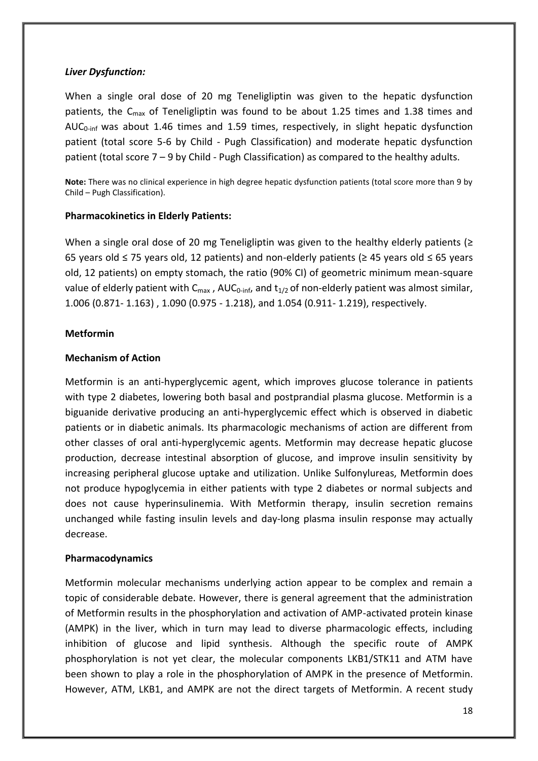### *Liver Dysfunction:*

When a single oral dose of 20 mg Teneligliptin was given to the hepatic dysfunction patients, the  $C_{\text{max}}$  of Teneligliptin was found to be about 1.25 times and 1.38 times and AUC<sub>0-inf</sub> was about 1.46 times and 1.59 times, respectively, in slight hepatic dysfunction patient (total score 5-6 by Child - Pugh Classification) and moderate hepatic dysfunction patient (total score  $7 - 9$  by Child - Pugh Classification) as compared to the healthy adults.

**Note:** There was no clinical experience in high degree hepatic dysfunction patients (total score more than 9 by Child – Pugh Classification).

### **Pharmacokinetics in Elderly Patients:**

When a single oral dose of 20 mg Teneligliptin was given to the healthy elderly patients ( $\geq$ 65 years old ≤ 75 years old, 12 patients) and non-elderly patients (≥ 45 years old ≤ 65 years old, 12 patients) on empty stomach, the ratio (90% CI) of geometric minimum mean-square value of elderly patient with  $C_{\text{max}}$ , AU $C_{0\text{-inf}}$ , and  $t_{1/2}$  of non-elderly patient was almost similar, 1.006 (0.871- 1.163) , 1.090 (0.975 - 1.218), and 1.054 (0.911- 1.219), respectively.

### **Metformin**

### **Mechanism of Action**

Metformin is an anti-hyperglycemic agent, which improves glucose tolerance in patients with type 2 diabetes, lowering both basal and postprandial plasma glucose. Metformin is a biguanide derivative producing an anti-hyperglycemic effect which is observed in diabetic patients or in diabetic animals. Its pharmacologic mechanisms of action are different from other classes of oral anti-hyperglycemic agents. Metformin may decrease hepatic glucose production, decrease intestinal absorption of glucose, and improve insulin sensitivity by increasing peripheral glucose uptake and utilization. Unlike Sulfonylureas, Metformin does not produce hypoglycemia in either patients with type 2 diabetes or normal subjects and does not cause hyperinsulinemia. With Metformin therapy, insulin secretion remains unchanged while fasting insulin levels and day-long plasma insulin response may actually decrease.

## **Pharmacodynamics**

Metformin molecular mechanisms underlying action appear to be complex and remain a topic of considerable debate. However, there is general agreement that the administration of Metformin results in the phosphorylation and activation of AMP-activated protein kinase (AMPK) in the liver, which in turn may lead to diverse pharmacologic effects, including inhibition of glucose and lipid synthesis. Although the specific route of AMPK phosphorylation is not yet clear, the molecular components LKB1/STK11 and ATM have been shown to play a role in the phosphorylation of AMPK in the presence of Metformin. However, ATM, LKB1, and AMPK are not the direct targets of Metformin. A recent study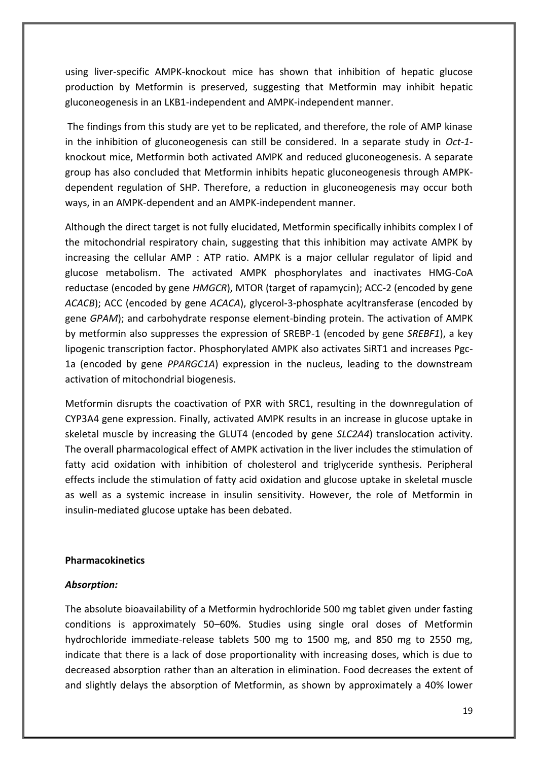using liver-specific AMPK-knockout mice has shown that inhibition of hepatic glucose production by Metformin is preserved, suggesting that Metformin may inhibit hepatic gluconeogenesis in an LKB1-independent and AMPK-independent manner.

The findings from this study are yet to be replicated, and therefore, the role of AMP kinase in the inhibition of gluconeogenesis can still be considered. In a separate study in *Oct-1* knockout mice, Metformin both activated AMPK and reduced gluconeogenesis. A separate group has also concluded that Metformin inhibits hepatic gluconeogenesis through AMPKdependent regulation of SHP. Therefore, a reduction in gluconeogenesis may occur both ways, in an AMPK-dependent and an AMPK-independent manner.

Although the direct target is not fully elucidated, Metformin specifically inhibits complex I of the mitochondrial respiratory chain, suggesting that this inhibition may activate AMPK by increasing the cellular AMP : ATP ratio. AMPK is a major cellular regulator of lipid and glucose metabolism. The activated AMPK phosphorylates and inactivates HMG-CoA reductase (encoded by gene *HMGCR*), MTOR (target of rapamycin); ACC-2 (encoded by gene *ACACB*); ACC (encoded by gene *ACACA*), glycerol-3-phosphate acyltransferase (encoded by gene *GPAM*); and carbohydrate response element-binding protein. The activation of AMPK by metformin also suppresses the expression of SREBP-1 (encoded by gene *SREBF1*), a key lipogenic transcription factor. Phosphorylated AMPK also activates SiRT1 and increases Pgc-1a (encoded by gene *PPARGC1A*) expression in the nucleus, leading to the downstream activation of mitochondrial biogenesis.

Metformin disrupts the coactivation of PXR with SRC1, resulting in the downregulation of CYP3A4 gene expression. Finally, activated AMPK results in an increase in glucose uptake in skeletal muscle by increasing the GLUT4 (encoded by gene *SLC2A4*) translocation activity. The overall pharmacological effect of AMPK activation in the liver includes the stimulation of fatty acid oxidation with inhibition of cholesterol and triglyceride synthesis. Peripheral effects include the stimulation of fatty acid oxidation and glucose uptake in skeletal muscle as well as a systemic increase in insulin sensitivity. However, the role of Metformin in insulin-mediated glucose uptake has been debated.

#### **Pharmacokinetics**

#### *Absorption:*

The absolute bioavailability of a Metformin hydrochloride 500 mg tablet given under fasting conditions is approximately 50–60%. Studies using single oral doses of Metformin hydrochloride immediate-release tablets 500 mg to 1500 mg, and 850 mg to 2550 mg, indicate that there is a lack of dose proportionality with increasing doses, which is due to decreased absorption rather than an alteration in elimination. Food decreases the extent of and slightly delays the absorption of Metformin, as shown by approximately a 40% lower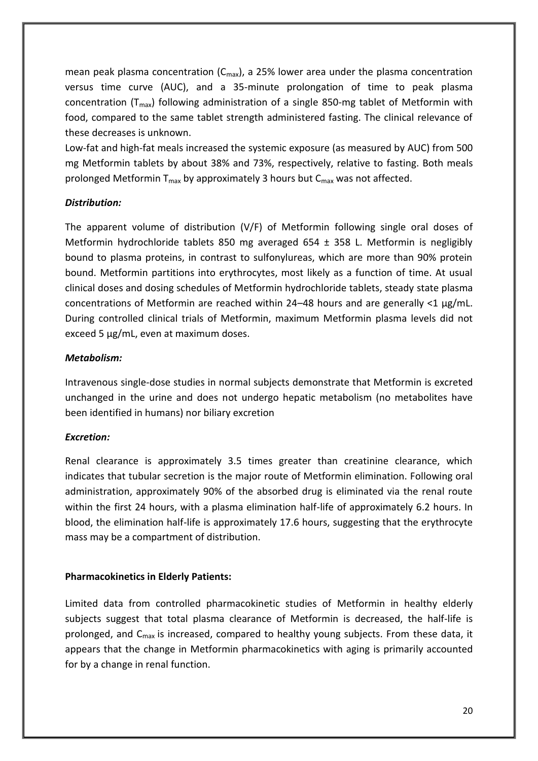mean peak plasma concentration  $(C_{\text{max}})$ , a 25% lower area under the plasma concentration versus time curve (AUC), and a 35-minute prolongation of time to peak plasma concentration ( $T_{max}$ ) following administration of a single 850-mg tablet of Metformin with food, compared to the same tablet strength administered fasting. The clinical relevance of these decreases is unknown.

Low-fat and high-fat meals increased the systemic exposure (as measured by AUC) from 500 mg Metformin tablets by about 38% and 73%, respectively, relative to fasting. Both meals prolonged Metformin T<sub>max</sub> by approximately 3 hours but  $C_{\text{max}}$  was not affected.

## *Distribution:*

The apparent volume of distribution (V/F) of Metformin following single oral doses of Metformin hydrochloride tablets 850 mg averaged 654 ± 358 L. Metformin is negligibly bound to plasma proteins, in contrast to sulfonylureas, which are more than 90% protein bound. Metformin partitions into erythrocytes, most likely as a function of time. At usual clinical doses and dosing schedules of Metformin hydrochloride tablets, steady state plasma concentrations of Metformin are reached within 24–48 hours and are generally <1 μg/mL. During controlled clinical trials of Metformin, maximum Metformin plasma levels did not exceed 5 μg/mL, even at maximum doses.

## *Metabolism:*

Intravenous single-dose studies in normal subjects demonstrate that Metformin is excreted unchanged in the urine and does not undergo hepatic metabolism (no metabolites have been identified in humans) nor biliary excretion

## *Excretion:*

Renal clearance is approximately 3.5 times greater than creatinine clearance, which indicates that tubular secretion is the major route of Metformin elimination. Following oral administration, approximately 90% of the absorbed drug is eliminated via the renal route within the first 24 hours, with a plasma elimination half-life of approximately 6.2 hours. In blood, the elimination half-life is approximately 17.6 hours, suggesting that the erythrocyte mass may be a compartment of distribution.

## **Pharmacokinetics in Elderly Patients:**

Limited data from controlled pharmacokinetic studies of Metformin in healthy elderly subjects suggest that total plasma clearance of Metformin is decreased, the half-life is prolonged, and C<sub>max</sub> is increased, compared to healthy young subjects. From these data, it appears that the change in Metformin pharmacokinetics with aging is primarily accounted for by a change in renal function.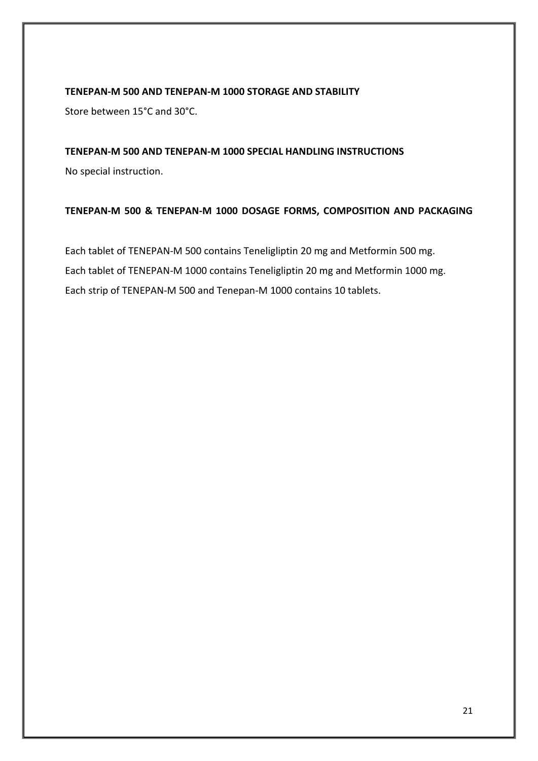## **TENEPAN-M 500 AND TENEPAN-M 1000 STORAGE AND STABILITY**

Store between 15°C and 30°C.

## **TENEPAN-M 500 AND TENEPAN-M 1000 SPECIAL HANDLING INSTRUCTIONS**

No special instruction.

## **TENEPAN-M 500 & TENEPAN-M 1000 DOSAGE FORMS, COMPOSITION AND PACKAGING**

Each tablet of TENEPAN-M 500 contains Teneligliptin 20 mg and Metformin 500 mg. Each tablet of TENEPAN-M 1000 contains Teneligliptin 20 mg and Metformin 1000 mg. Each strip of TENEPAN-M 500 and Tenepan-M 1000 contains 10 tablets.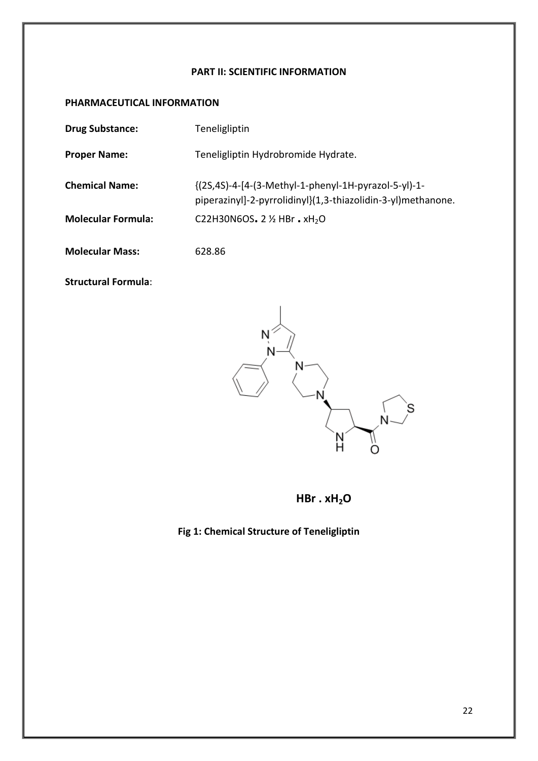## **PART II: SCIENTIFIC INFORMATION**

## **PHARMACEUTICAL INFORMATION**

| <b>Drug Substance:</b>    | Teneligliptin                                                                                                        |
|---------------------------|----------------------------------------------------------------------------------------------------------------------|
| <b>Proper Name:</b>       | Teneligliptin Hydrobromide Hydrate.                                                                                  |
| <b>Chemical Name:</b>     | {(2S,4S)-4-[4-(3-Methyl-1-phenyl-1H-pyrazol-5-yl)-1-<br>piperazinyl]-2-pyrrolidinyl}(1,3-thiazolidin-3-yl)methanone. |
| <b>Molecular Formula:</b> | C22H30N6OS. 2 1/2 HBr. xH <sub>2</sub> O                                                                             |
| <b>Molecular Mass:</b>    | 628.86                                                                                                               |

**Structural Formula**:



**HBr . xH2O**

# **Fig 1: Chemical Structure of Teneligliptin**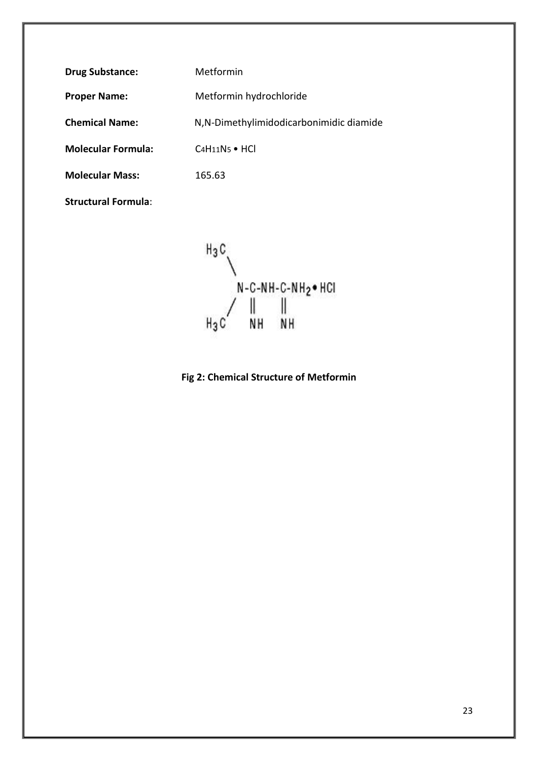**Drug Substance:** Metformin

Proper Name: Metformin hydrochloride

**Chemical Name:** N,N-Dimethylimidodicarbonimidic diamide

**Molecular Formula:** C4H11N5 • HCl

**Molecular Mass:** 165.63

**Structural Formula**:

 $H_3C$ N-C-NH-C-NH<sub>2</sub> + HCI ||<br>N H T  $H_3C$ NH

**Fig 2: Chemical Structure of Metformin**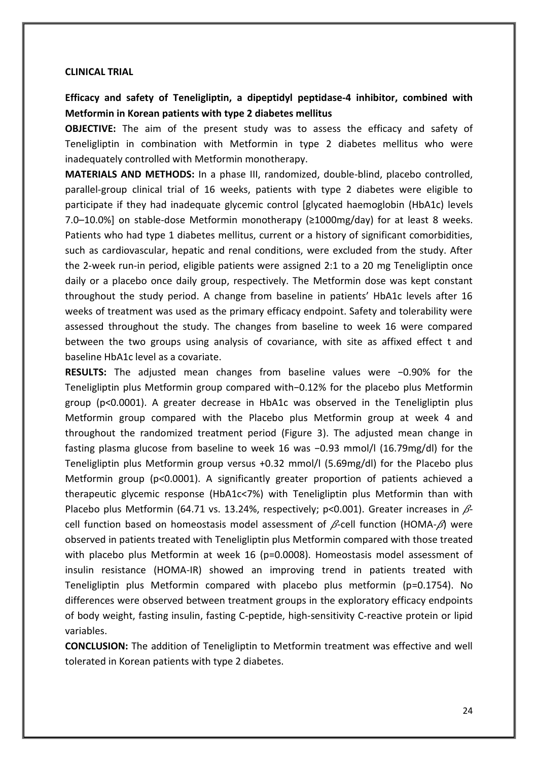#### **CLINICAL TRIAL**

## **Efficacy and safety of Teneligliptin, a dipeptidyl peptidase-4 inhibitor, combined with Metformin in Korean patients with type 2 diabetes mellitus**

**OBJECTIVE:** The aim of the present study was to assess the efficacy and safety of Teneligliptin in combination with Metformin in type 2 diabetes mellitus who were inadequately controlled with Metformin monotherapy.

**MATERIALS AND METHODS:** In a phase III, randomized, double-blind, placebo controlled, parallel-group clinical trial of 16 weeks, patients with type 2 diabetes were eligible to participate if they had inadequate glycemic control [glycated haemoglobin (HbA1c) levels 7.0–10.0%] on stable-dose Metformin monotherapy ( $\geq$ 1000mg/day) for at least 8 weeks. Patients who had type 1 diabetes mellitus, current or a history of significant comorbidities, such as cardiovascular, hepatic and renal conditions, were excluded from the study. After the 2-week run-in period, eligible patients were assigned 2:1 to a 20 mg Teneligliptin once daily or a placebo once daily group, respectively. The Metformin dose was kept constant throughout the study period. A change from baseline in patients' HbA1c levels after 16 weeks of treatment was used as the primary efficacy endpoint. Safety and tolerability were assessed throughout the study. The changes from baseline to week 16 were compared between the two groups using analysis of covariance, with site as affixed effect t and baseline HbA1c level as a covariate.

**RESULTS:** The adjusted mean changes from baseline values were −0.90% for the Teneligliptin plus Metformin group compared with−0.12% for the placebo plus Metformin group (p<0.0001). A greater decrease in HbA1c was observed in the Teneligliptin plus Metformin group compared with the Placebo plus Metformin group at week 4 and throughout the randomized treatment period (Figure 3). The adjusted mean change in fasting plasma glucose from baseline to week 16 was −0.93 mmol/l (16.79mg/dl) for the Teneligliptin plus Metformin group versus +0.32 mmol/l (5.69mg/dl) for the Placebo plus Metformin group (p<0.0001). A significantly greater proportion of patients achieved a therapeutic glycemic response (HbA1c<7%) with Teneligliptin plus Metformin than with Placebo plus Metformin (64.71 vs. 13.24%, respectively; p<0.001). Greater increases in  $\beta$ cell function based on homeostasis model assessment of  $\beta$ -cell function (HOMA- $\beta$ ) were observed in patients treated with Teneligliptin plus Metformin compared with those treated with placebo plus Metformin at week 16 (p=0.0008). Homeostasis model assessment of insulin resistance (HOMA-IR) showed an improving trend in patients treated with Teneligliptin plus Metformin compared with placebo plus metformin (p=0.1754). No differences were observed between treatment groups in the exploratory efficacy endpoints of body weight, fasting insulin, fasting C-peptide, high-sensitivity C-reactive protein or lipid variables.

**CONCLUSION:** The addition of Teneligliptin to Metformin treatment was effective and well tolerated in Korean patients with type 2 diabetes.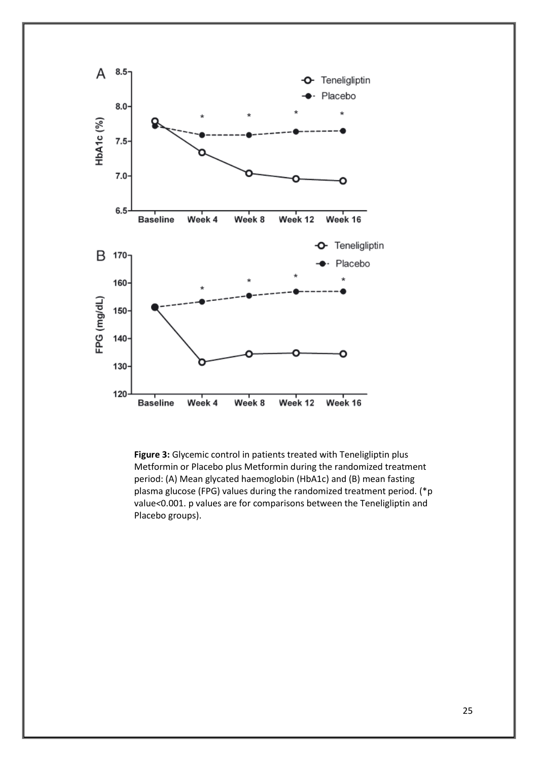

**Figure 3:** Glycemic control in patients treated with Teneligliptin plus Metformin or Placebo plus Metformin during the randomized treatment period: (A) Mean glycated haemoglobin (HbA1c) and (B) mean fasting plasma glucose (FPG) values during the randomized treatment period. (\*p value*<*0.001. p values are for comparisons between the Teneligliptin and Placebo groups).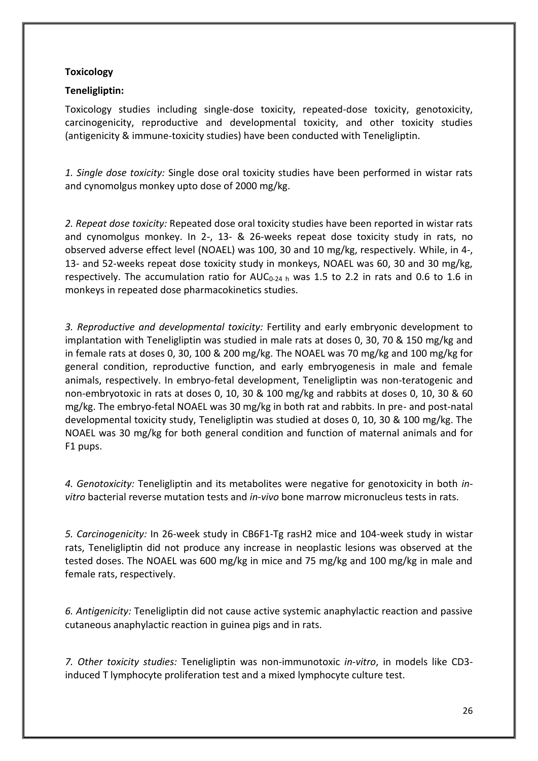## **Toxicology**

## **Teneligliptin:**

Toxicology studies including single-dose toxicity, repeated-dose toxicity, genotoxicity, carcinogenicity, reproductive and developmental toxicity, and other toxicity studies (antigenicity & immune-toxicity studies) have been conducted with Teneligliptin.

*1. Single dose toxicity:* Single dose oral toxicity studies have been performed in wistar rats and cynomolgus monkey upto dose of 2000 mg/kg.

*2. Repeat dose toxicity:* Repeated dose oral toxicity studies have been reported in wistar rats and cynomolgus monkey. In 2-, 13- & 26-weeks repeat dose toxicity study in rats, no observed adverse effect level (NOAEL) was 100, 30 and 10 mg/kg, respectively. While, in 4-, 13- and 52-weeks repeat dose toxicity study in monkeys, NOAEL was 60, 30 and 30 mg/kg, respectively. The accumulation ratio for  $AUC_{0.24 h}$  was 1.5 to 2.2 in rats and 0.6 to 1.6 in monkeys in repeated dose pharmacokinetics studies.

*3. Reproductive and developmental toxicity:* Fertility and early embryonic development to implantation with Teneligliptin was studied in male rats at doses 0, 30, 70 & 150 mg/kg and in female rats at doses 0, 30, 100 & 200 mg/kg. The NOAEL was 70 mg/kg and 100 mg/kg for general condition, reproductive function, and early embryogenesis in male and female animals, respectively. In embryo-fetal development, Teneligliptin was non-teratogenic and non-embryotoxic in rats at doses 0, 10, 30 & 100 mg/kg and rabbits at doses 0, 10, 30 & 60 mg/kg. The embryo-fetal NOAEL was 30 mg/kg in both rat and rabbits. In pre- and post-natal developmental toxicity study, Teneligliptin was studied at doses 0, 10, 30 & 100 mg/kg. The NOAEL was 30 mg/kg for both general condition and function of maternal animals and for F1 pups.

*4. Genotoxicity:* Teneligliptin and its metabolites were negative for genotoxicity in both *invitro* bacterial reverse mutation tests and *in-vivo* bone marrow micronucleus tests in rats.

*5. Carcinogenicity:* In 26-week study in CB6F1-Tg rasH2 mice and 104-week study in wistar rats, Teneligliptin did not produce any increase in neoplastic lesions was observed at the tested doses. The NOAEL was 600 mg/kg in mice and 75 mg/kg and 100 mg/kg in male and female rats, respectively.

*6. Antigenicity:* Teneligliptin did not cause active systemic anaphylactic reaction and passive cutaneous anaphylactic reaction in guinea pigs and in rats.

*7. Other toxicity studies:* Teneligliptin was non-immunotoxic *in-vitro*, in models like CD3 induced T lymphocyte proliferation test and a mixed lymphocyte culture test.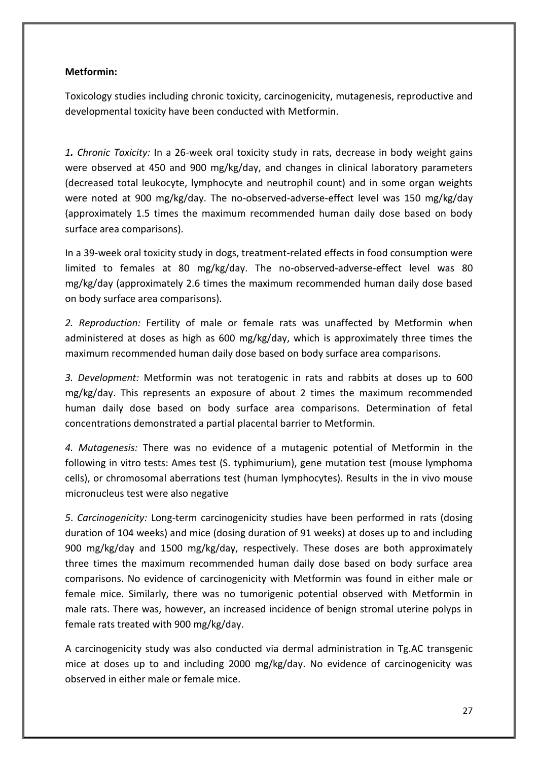## **Metformin:**

Toxicology studies including chronic toxicity, carcinogenicity, mutagenesis, reproductive and developmental toxicity have been conducted with Metformin.

*1. Chronic Toxicity:* In a 26-week oral toxicity study in rats, decrease in body weight gains were observed at 450 and 900 mg/kg/day, and changes in clinical laboratory parameters (decreased total leukocyte, lymphocyte and neutrophil count) and in some organ weights were noted at 900 mg/kg/day. The no-observed-adverse-effect level was 150 mg/kg/day (approximately 1.5 times the maximum recommended human daily dose based on body surface area comparisons).

In a 39-week oral toxicity study in dogs, treatment-related effects in food consumption were limited to females at 80 mg/kg/day. The no-observed-adverse-effect level was 80 mg/kg/day (approximately 2.6 times the maximum recommended human daily dose based on body surface area comparisons).

*2. Reproduction:* Fertility of male or female rats was unaffected by Metformin when administered at doses as high as 600 mg/kg/day, which is approximately three times the maximum recommended human daily dose based on body surface area comparisons.

*3. Development:* Metformin was not teratogenic in rats and rabbits at doses up to 600 mg/kg/day. This represents an exposure of about 2 times the maximum recommended human daily dose based on body surface area comparisons. Determination of fetal concentrations demonstrated a partial placental barrier to Metformin.

*4. Mutagenesis:* There was no evidence of a mutagenic potential of Metformin in the following in vitro tests: Ames test (S. typhimurium), gene mutation test (mouse lymphoma cells), or chromosomal aberrations test (human lymphocytes). Results in the in vivo mouse micronucleus test were also negative

*5*. *Carcinogenicity:* Long-term carcinogenicity studies have been performed in rats (dosing duration of 104 weeks) and mice (dosing duration of 91 weeks) at doses up to and including 900 mg/kg/day and 1500 mg/kg/day, respectively. These doses are both approximately three times the maximum recommended human daily dose based on body surface area comparisons. No evidence of carcinogenicity with Metformin was found in either male or female mice. Similarly, there was no tumorigenic potential observed with Metformin in male rats. There was, however, an increased incidence of benign stromal uterine polyps in female rats treated with 900 mg/kg/day.

A carcinogenicity study was also conducted via dermal administration in Tg.AC transgenic mice at doses up to and including 2000 mg/kg/day. No evidence of carcinogenicity was observed in either male or female mice.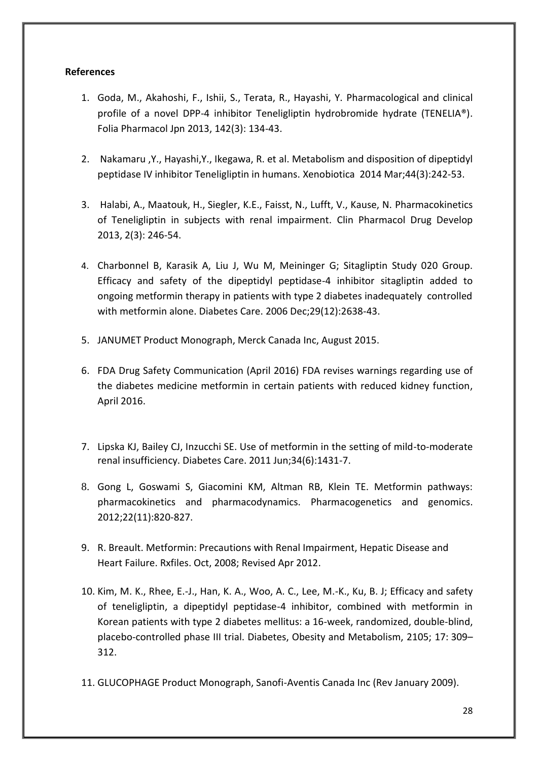## **References**

- 1. Goda, M., Akahoshi, F., Ishii, S., Terata, R., Hayashi, Y. Pharmacological and clinical profile of a novel DPP-4 inhibitor Teneligliptin hydrobromide hydrate (TENELIA®). Folia Pharmacol Jpn 2013, 142(3): 134-43.
- 2. Nakamaru ,Y., Hayashi,Y., Ikegawa, R. et al. Metabolism and disposition of dipeptidyl peptidase IV inhibitor Teneligliptin in humans. Xenobiotica 2014 Mar;44(3):242-53.
- 3. Halabi, A., Maatouk, H., Siegler, K.E., Faisst, N., Lufft, V., Kause, N. Pharmacokinetics of Teneligliptin in subjects with renal impairment. Clin Pharmacol Drug Develop 2013, 2(3): 246-54.
- 4. Charbonnel B, Karasik A, Liu J, Wu M, Meininger G; Sitagliptin Study 020 Group. Efficacy and safety of the dipeptidyl peptidase-4 inhibitor sitagliptin added to ongoing metformin therapy in patients with type 2 diabetes inadequately controlled with metformin alone. Diabetes Care. 2006 Dec;29(12):2638-43.
- 5. JANUMET Product Monograph, Merck Canada Inc, August 2015.
- 6. FDA Drug Safety Communication (April 2016) FDA revises warnings regarding use of the diabetes medicine metformin in certain patients with reduced kidney function, April 2016.
- 7. Lipska KJ, Bailey CJ, Inzucchi SE. Use of metformin in the setting of mild-to-moderate renal insufficiency. Diabetes Care. 2011 Jun;34(6):1431-7.
- 8. Gong L, Goswami S, Giacomini KM, Altman RB, Klein TE. Metformin pathways: pharmacokinetics and pharmacodynamics. Pharmacogenetics and genomics. 2012;22(11):820-827.
- 9. R. Breault. Metformin: Precautions with Renal Impairment, Hepatic Disease and Heart Failure. Rxfiles. Oct, 2008; Revised Apr 2012.
- 10. Kim, M. K., Rhee, E.-J., Han, K. A., Woo, A. C., Lee, M.-K., Ku, B. J; Efficacy and safety of teneligliptin, a dipeptidyl peptidase-4 inhibitor, combined with metformin in Korean patients with type 2 diabetes mellitus: a 16-week, randomized, double-blind, placebo-controlled phase III trial. Diabetes, Obesity and Metabolism, 2105; 17: 309– 312.
- 11. GLUCOPHAGE Product Monograph, Sanofi-Aventis Canada Inc (Rev January 2009).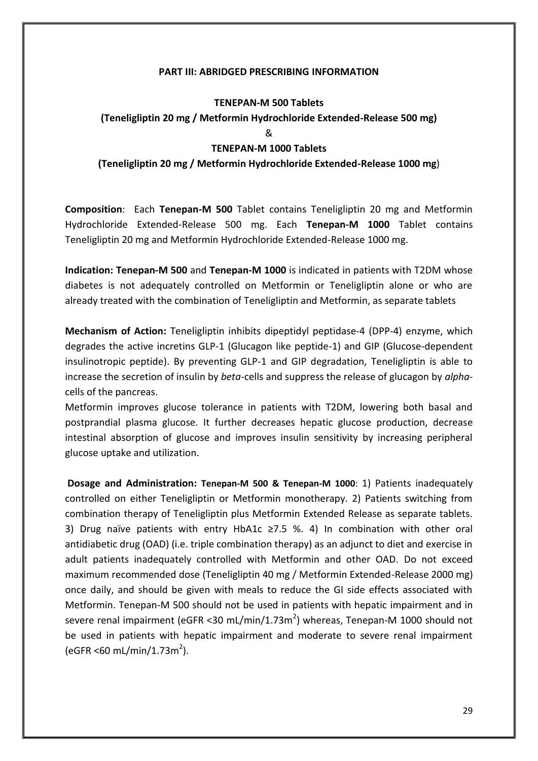#### **PART III: ABRIDGED PRESCRIBING INFORMATION**

## **TENEPAN-M 500 Tablets (Teneligliptin 20 mg / Metformin Hydrochloride Extended-Release 500 mg)** & **TENEPAN-M 1000 Tablets (Teneligliptin 20 mg / Metformin Hydrochloride Extended-Release 1000 mg**)

**Composition**: Each **Tenepan-M 500** Tablet contains Teneligliptin 20 mg and Metformin Hydrochloride Extended-Release 500 mg. Each **Tenepan-M 1000** Tablet contains Teneligliptin 20 mg and Metformin Hydrochloride Extended-Release 1000 mg.

**Indication: Tenepan-M 500** and **Tenepan-M 1000** is indicated in patients with T2DM whose diabetes is not adequately controlled on Metformin or Teneligliptin alone or who are already treated with the combination of Teneligliptin and Metformin, as separate tablets

**Mechanism of Action:** Teneligliptin inhibits dipeptidyl peptidase-4 (DPP-4) enzyme, which degrades the active incretins GLP-1 (Glucagon like peptide-1) and GIP (Glucose-dependent insulinotropic peptide). By preventing GLP-1 and GIP degradation, Teneligliptin is able to increase the secretion of insulin by *beta*-cells and suppress the release of glucagon by *alpha*cells of the pancreas.

Metformin improves glucose tolerance in patients with T2DM, lowering both basal and postprandial plasma glucose. It further decreases hepatic glucose production, decrease intestinal absorption of glucose and improves insulin sensitivity by increasing peripheral glucose uptake and utilization.

**Dosage and Administration: Tenepan-M 500 & Tenepan-M 1000**: 1) Patients inadequately controlled on either Teneligliptin or Metformin monotherapy. 2) Patients switching from combination therapy of Teneligliptin plus Metformin Extended Release as separate tablets. 3) Drug naïve patients with entry HbA1c ≥7.5 %. 4) In combination with other oral antidiabetic drug (OAD) (i.e. triple combination therapy) as an adjunct to diet and exercise in adult patients inadequately controlled with Metformin and other OAD. Do not exceed maximum recommended dose (Teneligliptin 40 mg / Metformin Extended-Release 2000 mg) once daily, and should be given with meals to reduce the GI side effects associated with Metformin. Tenepan-M 500 should not be used in patients with hepatic impairment and in severe renal impairment (eGFR <30 mL/min/1.73m<sup>2</sup>) whereas, Tenepan-M 1000 should not be used in patients with hepatic impairment and moderate to severe renal impairment  $(eGFR < 60 \text{ mL/min}/1.73 \text{m}^2).$